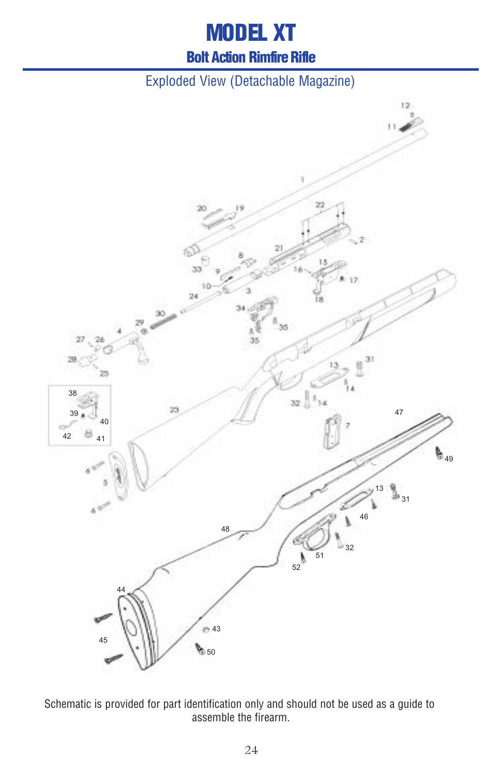# **MODEL XT**

#### **Bolt Action Rimfire Rifle**

#### Exploded View (Detachable Magazine)



Schematic is provided for part identification only and should not be used as a guide to assemble the firearm.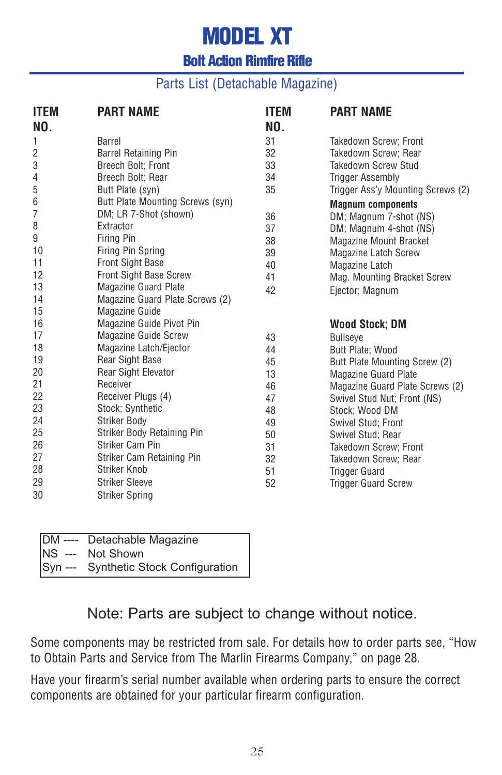# **MODEL XT**

### **Bolt Action Rimfire Rifle**

#### Parts List (Detachable Magazine)

| <b>ITEM</b><br>NO. | <b>PART NAME</b>                 | <b>ITEM</b><br>NO. | <b>PART NAME</b>                  |
|--------------------|----------------------------------|--------------------|-----------------------------------|
| 1                  | Barrel                           | 31                 | Takedown Screw; Front             |
| 2                  | <b>Barrel Retaining Pin</b>      | 32                 | Takedown Screw; Rear              |
| 3                  | Breech Bolt; Front               | 33                 | Takedown Screw Stud               |
| 4                  | Breech Bolt: Rear                | 34                 | <b>Trigger Assembly</b>           |
| 5                  | Butt Plate (syn)                 | 35                 | Trigger Ass'y Mounting Screws (2) |
| 6                  | Butt Plate Mounting Screws (syn) |                    | <b>Magnum components</b>          |
| 7                  | DM; LR 7-Shot (shown)            | 36                 | DM; Magnum 7-shot (NS)            |
| 8                  | Extractor                        | 37                 | DM; Magnum 4-shot (NS)            |
| 9                  | <b>Firing Pin</b>                | 38                 | <b>Magazine Mount Bracket</b>     |
| 10                 | Firing Pin Spring                | 39                 | <b>Magazine Latch Screw</b>       |
| 11                 | <b>Front Sight Base</b>          | 40                 | Magazine Latch                    |
| 12                 | <b>Front Sight Base Screw</b>    | 41                 | Mag. Mounting Bracket Screw       |
| 13                 | <b>Magazine Guard Plate</b>      | 42                 | Ejector; Magnum                   |
| 14                 | Magazine Guard Plate Screws (2)  |                    |                                   |
| 15                 | <b>Magazine Guide</b>            |                    |                                   |
| 16                 | Magazine Guide Pivot Pin         |                    | <b>Wood Stock; DM</b>             |
| 17                 | <b>Magazine Guide Screw</b>      | 43                 | <b>Bullseve</b>                   |
| 18                 | Magazine Latch/Ejector           | 44                 | Butt Plate; Wood                  |
| 19                 | <b>Rear Sight Base</b>           | 45                 | Butt Plate Mounting Screw (2)     |
| 20                 | <b>Rear Sight Elevator</b>       | 13                 | <b>Magazine Guard Plate</b>       |
| 21                 | Receiver                         | 46                 | Magazine Guard Plate Screws (2)   |
| 22                 | Receiver Plugs (4)               | 47                 | Swivel Stud Nut; Front (NS)       |
| 23                 | Stock; Synthetic                 | 48                 | Stock; Wood DM                    |
| 24                 | Striker Body                     | 49                 | Swivel Stud; Front                |
| 25                 | Striker Body Retaining Pin       | 50                 | Swivel Stud; Rear                 |
| 26                 | Striker Cam Pin                  | 31                 | Takedown Screw; Front             |
| 27                 | Striker Cam Retaining Pin        | 32                 | Takedown Screw; Rear              |
| 28                 | Striker Knob                     | 51                 | <b>Trigger Guard</b>              |
| 29                 | <b>Striker Sleeve</b>            | 52                 | <b>Trigger Guard Screw</b>        |
| 30                 | <b>Striker Spring</b>            |                    |                                   |

| DM ---- Detachable Magazine           |
|---------------------------------------|
| NS --- Not Shown                      |
| Syn --- Synthetic Stock Configuration |

#### Note: Parts are subject to change without notice.

Some components may be restricted from sale. For details how to order parts see, "How to Obtain Parts and Service from The Marlin Firearms Company," on page 28.

Have your firearm's serial number available when ordering parts to ensure the correct components are obtained for your particular firearm configuration.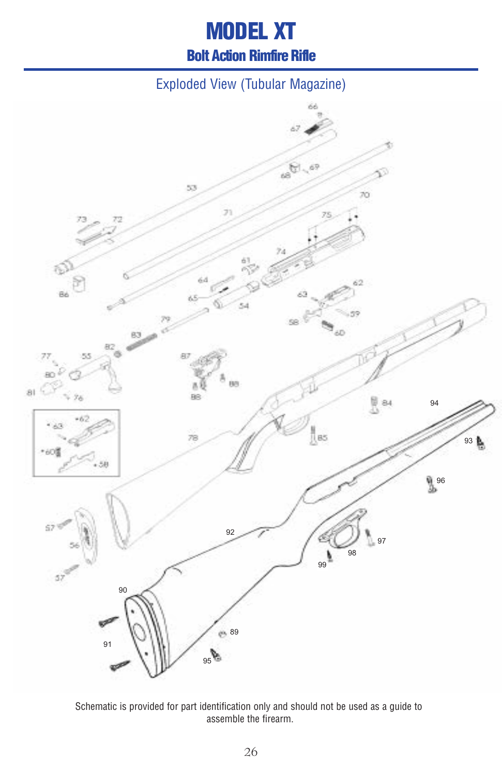# **MODEL XT Bolt Action Rimfire Rifle**

### Exploded View (Tubular Magazine)



Schematic is provided for part identification only and should not be used as a guide to assemble the firearm.